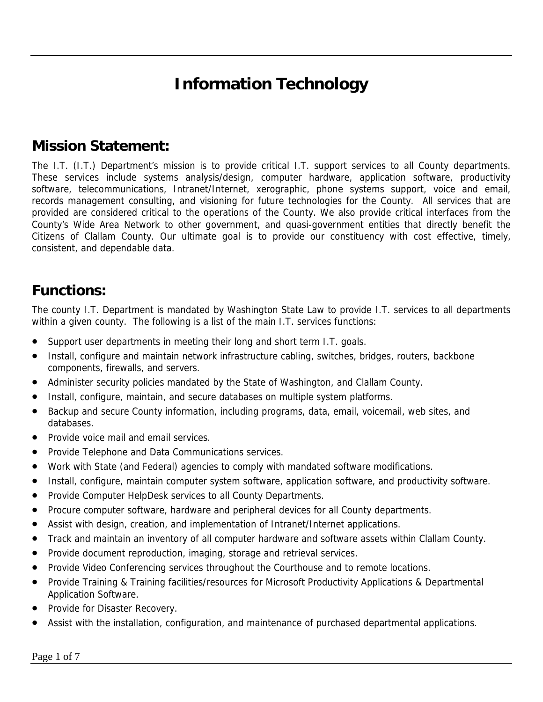# **Information Technology**

#### **Mission Statement:**

The I.T. (I.T.) Department's mission is to provide critical I.T. support services to all County departments. These services include systems analysis/design, computer hardware, application software, productivity software, telecommunications, Intranet/Internet, xerographic, phone systems support, voice and email, records management consulting, and visioning for future technologies for the County. All services that are provided are considered critical to the operations of the County. We also provide critical interfaces from the County's Wide Area Network to other government, and quasi-government entities that directly benefit the Citizens of Clallam County. Our ultimate goal is to provide our constituency with cost effective, timely, consistent, and dependable data.

#### **Functions:**

The county I.T. Department is mandated by Washington State Law to provide I.T. services to all departments within a given county. The following is a list of the main I.T. services functions:

- Support user departments in meeting their long and short term I.T. goals.
- Install, configure and maintain network infrastructure cabling, switches, bridges, routers, backbone components, firewalls, and servers.
- Administer security policies mandated by the State of Washington, and Clallam County.
- Install, configure, maintain, and secure databases on multiple system platforms.
- Backup and secure County information, including programs, data, email, voicemail, web sites, and databases.
- Provide voice mail and email services.
- Provide Telephone and Data Communications services.
- Work with State (and Federal) agencies to comply with mandated software modifications.
- Install, configure, maintain computer system software, application software, and productivity software.
- Provide Computer HelpDesk services to all County Departments.
- Procure computer software, hardware and peripheral devices for all County departments.
- Assist with design, creation, and implementation of Intranet/Internet applications.
- Track and maintain an inventory of all computer hardware and software assets within Clallam County.
- Provide document reproduction, imaging, storage and retrieval services.
- Provide Video Conferencing services throughout the Courthouse and to remote locations.
- Provide Training & Training facilities/resources for Microsoft Productivity Applications & Departmental Application Software.
- Provide for Disaster Recovery.
- Assist with the installation, configuration, and maintenance of purchased departmental applications.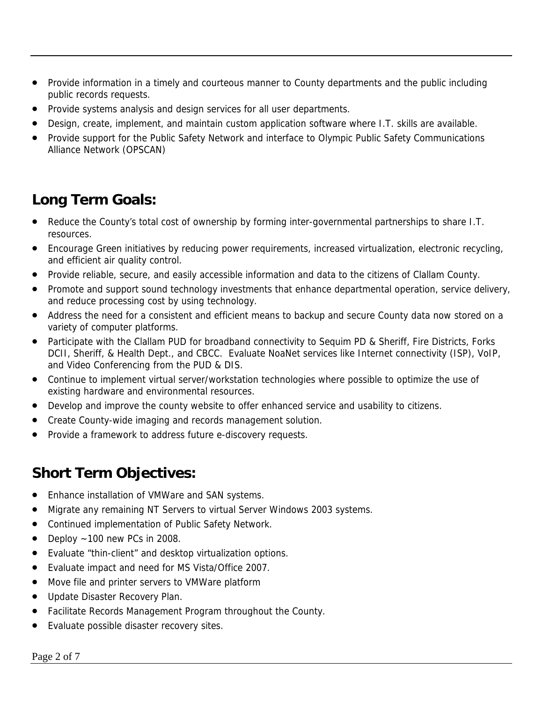- Provide information in a timely and courteous manner to County departments and the public including public records requests.
- Provide systems analysis and design services for all user departments.
- Design, create, implement, and maintain custom application software where I.T. skills are available.
- Provide support for the Public Safety Network and interface to Olympic Public Safety Communications Alliance Network (OPSCAN)

### **Long Term Goals:**

- Reduce the County's total cost of ownership by forming inter-governmental partnerships to share I.T. resources.
- Encourage Green initiatives by reducing power requirements, increased virtualization, electronic recycling, and efficient air quality control.
- Provide reliable, secure, and easily accessible information and data to the citizens of Clallam County.
- Promote and support sound technology investments that enhance departmental operation, service delivery, and reduce processing cost by using technology.
- Address the need for a consistent and efficient means to backup and secure County data now stored on a variety of computer platforms.
- Participate with the Clallam PUD for broadband connectivity to Sequim PD & Sheriff, Fire Districts, Forks DCII, Sheriff, & Health Dept., and CBCC. Evaluate NoaNet services like Internet connectivity (ISP), VoIP, and Video Conferencing from the PUD & DIS.
- Continue to implement virtual server/workstation technologies where possible to optimize the use of existing hardware and environmental resources.
- Develop and improve the county website to offer enhanced service and usability to citizens.
- Create County-wide imaging and records management solution.
- Provide a framework to address future e-discovery requests.

### **Short Term Objectives:**

- Enhance installation of VMWare and SAN systems.
- Migrate any remaining NT Servers to virtual Server Windows 2003 systems.
- Continued implementation of Public Safety Network.
- Deploy  $\sim$  100 new PCs in 2008.
- Evaluate "thin-client" and desktop virtualization options.
- Evaluate impact and need for MS Vista/Office 2007.
- Move file and printer servers to VMWare platform
- Update Disaster Recovery Plan.
- Facilitate Records Management Program throughout the County.
- Evaluate possible disaster recovery sites.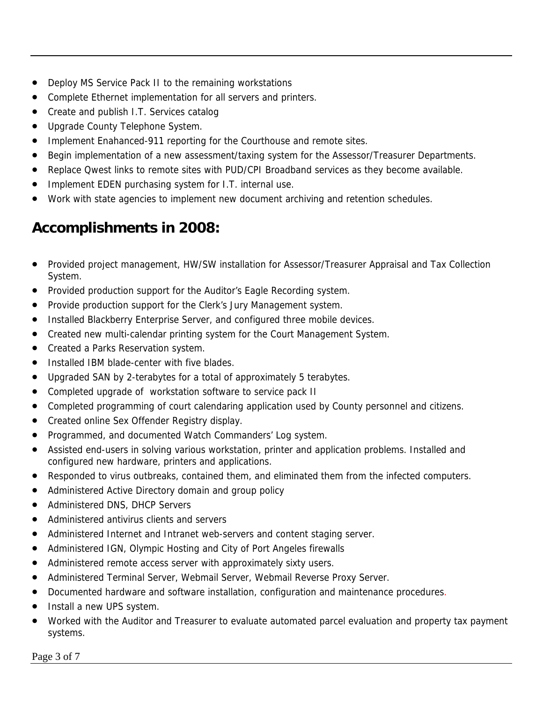- Deploy MS Service Pack II to the remaining workstations
- Complete Ethernet implementation for all servers and printers.
- Create and publish I.T. Services catalog
- Upgrade County Telephone System.
- Implement Enahanced-911 reporting for the Courthouse and remote sites.
- Begin implementation of a new assessment/taxing system for the Assessor/Treasurer Departments.
- Replace Qwest links to remote sites with PUD/CPI Broadband services as they become available.
- Implement EDEN purchasing system for I.T. internal use.
- Work with state agencies to implement new document archiving and retention schedules.

### **Accomplishments in 2008:**

- Provided project management, HW/SW installation for Assessor/Treasurer Appraisal and Tax Collection System.
- Provided production support for the Auditor's Eagle Recording system.
- Provide production support for the Clerk's Jury Management system.
- Installed Blackberry Enterprise Server, and configured three mobile devices.
- Created new multi-calendar printing system for the Court Management System.
- Created a Parks Reservation system.
- Installed IBM blade-center with five blades.
- Upgraded SAN by 2-terabytes for a total of approximately 5 terabytes.
- Completed upgrade of workstation software to service pack II
- Completed programming of court calendaring application used by County personnel and citizens.
- Created online Sex Offender Registry display.
- Programmed, and documented Watch Commanders' Log system.
- Assisted end-users in solving various workstation, printer and application problems. Installed and configured new hardware, printers and applications.
- Responded to virus outbreaks, contained them, and eliminated them from the infected computers.
- Administered Active Directory domain and group policy
- Administered DNS, DHCP Servers
- Administered antivirus clients and servers
- Administered Internet and Intranet web-servers and content staging server.
- Administered IGN, Olympic Hosting and City of Port Angeles firewalls
- Administered remote access server with approximately sixty users.
- Administered Terminal Server, Webmail Server, Webmail Reverse Proxy Server.
- Documented hardware and software installation, configuration and maintenance procedures.
- Install a new UPS system.
- Worked with the Auditor and Treasurer to evaluate automated parcel evaluation and property tax payment systems.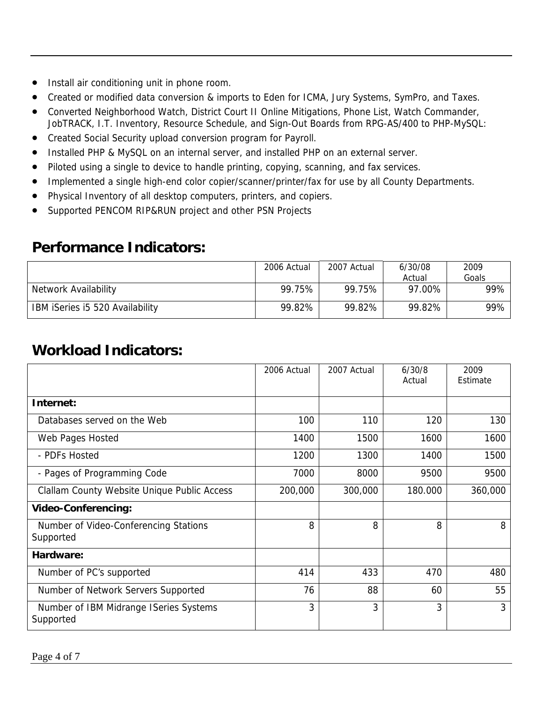- Install air conditioning unit in phone room.
- Created or modified data conversion & imports to Eden for ICMA, Jury Systems, SymPro, and Taxes.
- Converted Neighborhood Watch, District Court II Online Mitigations, Phone List, Watch Commander, JobTRACK, I.T. Inventory, Resource Schedule, and Sign-Out Boards from RPG-AS/400 to PHP-MySQL:
- Created Social Security upload conversion program for Payroll.
- Installed PHP & MySQL on an internal server, and installed PHP on an external server.
- Piloted using a single to device to handle printing, copying, scanning, and fax services.
- Implemented a single high-end color copier/scanner/printer/fax for use by all County Departments.
- Physical Inventory of all desktop computers, printers, and copiers.
- Supported PENCOM RIP&RUN project and other PSN Projects

#### **Performance Indicators:**

|                                 | 2006 Actual | 2007 Actual | 6/30/08 | 2009  |
|---------------------------------|-------------|-------------|---------|-------|
|                                 |             |             | Actual  | Goals |
| Network Availability            | 99.75%      | 99.75%      | 97.00%  | 99%   |
| IBM iSeries i5 520 Availability | 99.82%      | 99.82%      | 99.82%  | 99%   |

#### **Workload Indicators:**

|                                                     | 2006 Actual | 2007 Actual | 6/30/8<br>Actual | 2009<br>Estimate |
|-----------------------------------------------------|-------------|-------------|------------------|------------------|
| Internet:                                           |             |             |                  |                  |
| Databases served on the Web                         | 100         | 110         | 120              | 130              |
| Web Pages Hosted                                    | 1400        | 1500        | 1600             | 1600             |
| - PDFs Hosted                                       | 1200        | 1300        | 1400             | 1500             |
| - Pages of Programming Code                         | 7000        | 8000        | 9500             | 9500             |
| Clallam County Website Unique Public Access         | 200,000     | 300,000     | 180.000          | 360,000          |
| <b>Video-Conferencing:</b>                          |             |             |                  |                  |
| Number of Video-Conferencing Stations<br>Supported  | 8           | 8           | 8                | 8                |
| Hardware:                                           |             |             |                  |                  |
| Number of PC's supported                            | 414         | 433         | 470              | 480              |
| Number of Network Servers Supported                 | 76          | 88          | 60               | 55               |
| Number of IBM Midrange ISeries Systems<br>Supported | 3           | 3           | 3                | $\overline{3}$   |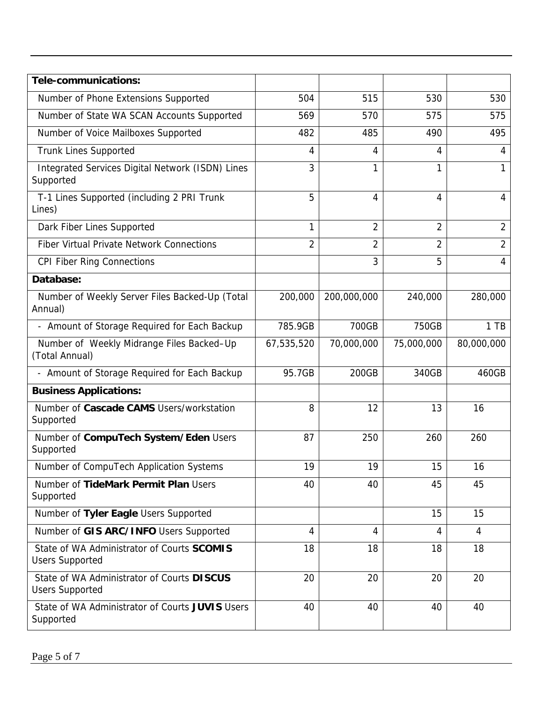| Tele-communications:                                                 |                |                |                |                |
|----------------------------------------------------------------------|----------------|----------------|----------------|----------------|
| Number of Phone Extensions Supported                                 | 504            | 515            | 530            | 530            |
| Number of State WA SCAN Accounts Supported                           | 569            | 570            | 575            | 575            |
| Number of Voice Mailboxes Supported                                  | 482            | 485            | 490            | 495            |
| <b>Trunk Lines Supported</b>                                         | 4              | 4              | 4              | 4              |
| Integrated Services Digital Network (ISDN) Lines<br>Supported        | 3              | 1              | 1              | 1              |
| T-1 Lines Supported (including 2 PRI Trunk<br>Lines)                 | 5              | 4              | 4              | 4              |
| Dark Fiber Lines Supported                                           | 1              | $\overline{2}$ | $\overline{2}$ | $\overline{2}$ |
| <b>Fiber Virtual Private Network Connections</b>                     | $\overline{2}$ | $\overline{2}$ | $\overline{2}$ | $\overline{2}$ |
| <b>CPI Fiber Ring Connections</b>                                    |                | 3              | 5              | $\overline{4}$ |
| Database:                                                            |                |                |                |                |
| Number of Weekly Server Files Backed-Up (Total<br>Annual)            | 200,000        | 200,000,000    | 240,000        | 280,000        |
| - Amount of Storage Required for Each Backup                         | 785.9GB        | 700GB          | 750GB          | $1$ TB         |
| Number of Weekly Midrange Files Backed-Up<br>(Total Annual)          | 67,535,520     | 70,000,000     | 75,000,000     | 80,000,000     |
| - Amount of Storage Required for Each Backup                         | 95.7GB         | 200GB          | 340GB          | 460GB          |
| <b>Business Applications:</b>                                        |                |                |                |                |
| Number of Cascade CAMS Users/workstation<br>Supported                | 8              | 12             | 13             | 16             |
| Number of CompuTech System/Eden Users<br>Supported                   | 87             | 250            | 260            | 260            |
| Number of CompuTech Application Systems                              | 19             | 19             | 15             | 16             |
| Number of TideMark Permit Plan Users<br>Supported                    | 40             | 40             | 45             | 45             |
| Number of Tyler Eagle Users Supported                                |                |                | 15             | 15             |
| Number of GIS ARC/INFO Users Supported                               | 4              | 4              | 4              | $\overline{4}$ |
| State of WA Administrator of Courts SCOMIS<br><b>Users Supported</b> | 18             | 18             | 18             | 18             |
| State of WA Administrator of Courts DISCUS<br><b>Users Supported</b> | 20             | 20             | 20             | 20             |
| State of WA Administrator of Courts JUVIS Users<br>Supported         | 40             | 40             | 40             | 40             |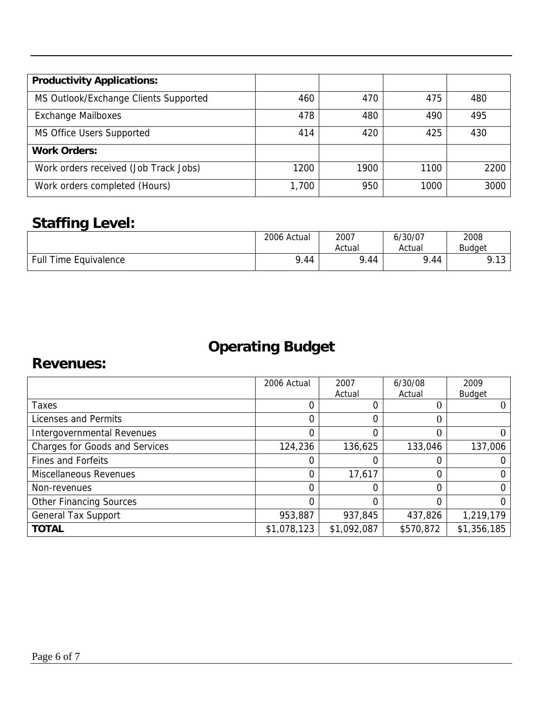| <b>Productivity Applications:</b>     |       |      |      |      |
|---------------------------------------|-------|------|------|------|
| MS Outlook/Exchange Clients Supported | 460   | 470  | 475  | 480  |
| <b>Exchange Mailboxes</b>             | 478   | 480  | 490  | 495  |
| MS Office Users Supported             | 414   | 420  | 425  | 430  |
| <b>Work Orders:</b>                   |       |      |      |      |
| Work orders received (Job Track Jobs) | 1200  | 1900 | 1100 | 2200 |
| Work orders completed (Hours)         | 1,700 | 950  | 1000 | 3000 |

# **Staffing Level:**

|                              | 2006 Actual | 2007      | 6/30/07 | 2008           |
|------------------------------|-------------|-----------|---------|----------------|
|                              |             | Actual    | Actual  | <b>Budaet</b>  |
| <b>Full Time Equivalence</b> | 9.44        | o<br>1.44 | 9.44    | Q 12<br>7. I J |

# **Operating Budget**

#### **Revenues:**

|                                       | 2006 Actual | 2007<br>Actual | 6/30/08<br>Actual | 2009<br><b>Budget</b> |
|---------------------------------------|-------------|----------------|-------------------|-----------------------|
| Taxes                                 |             | 0              |                   |                       |
| Licenses and Permits                  | 0           | 0              | 0                 |                       |
| Intergovernmental Revenues            |             | 0              | 0                 |                       |
| <b>Charges for Goods and Services</b> | 124,236     | 136,625        | 133,046           | 137,006               |
| <b>Fines and Forfeits</b>             |             | 0              |                   |                       |
| Miscellaneous Revenues                | 0           | 17,617         | 0                 |                       |
| Non-revenues                          | $\Omega$    | 0              | 0                 | 0                     |
| <b>Other Financing Sources</b>        | 0           | 0              | 0                 | O                     |
| <b>General Tax Support</b>            | 953,887     | 937,845        | 437,826           | 1,219,179             |
| <b>TOTAL</b>                          | \$1,078,123 | \$1,092,087    | \$570,872         | \$1,356,185           |